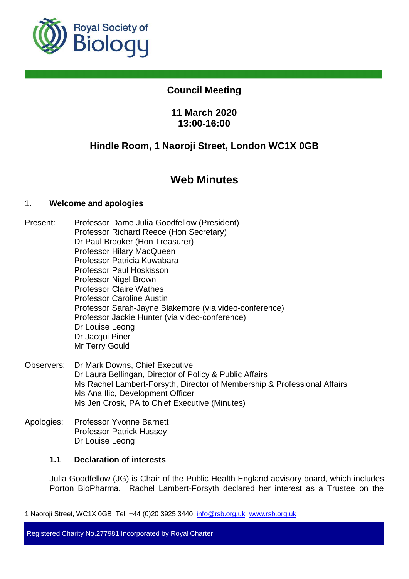

# **Council Meeting**

# **11 March 2020 13:00-16:00**

# **Hindle Room, 1 Naoroji Street, London WC1X 0GB**

# **Web Minutes**

# 1. **Welcome and apologies**

- Present: Professor Dame Julia Goodfellow (President) Professor Richard Reece (Hon Secretary) Dr Paul Brooker (Hon Treasurer) Professor Hilary MacQueen Professor Patricia Kuwabara Professor Paul Hoskisson Professor Nigel Brown Professor Claire Wathes Professor Caroline Austin Professor Sarah-Jayne Blakemore (via video-conference) Professor Jackie Hunter (via video-conference) Dr Louise Leong Dr Jacqui Piner Mr Terry Gould
- Observers: Dr Mark Downs, Chief Executive Dr Laura Bellingan, Director of Policy & Public Affairs Ms Rachel Lambert-Forsyth, Director of Membership & Professional Affairs Ms Ana Ilic, Development Officer Ms Jen Crosk, PA to Chief Executive (Minutes)
- Apologies: Professor Yvonne Barnett Professor Patrick Hussey Dr Louise Leong

# **1.1 Declaration of interests**

Julia Goodfellow (JG) is Chair of the Public Health England advisory board, which includes Porton BioPharma. Rachel Lambert-Forsyth declared her interest as a Trustee on the

1 Naoroji Street, WC1X 0GB Tel: +44 (0)20 3925 3440 info@rsb.org.uk www.rsb.org.uk

Registered Charity No.277981 Incorporated by Royal Charter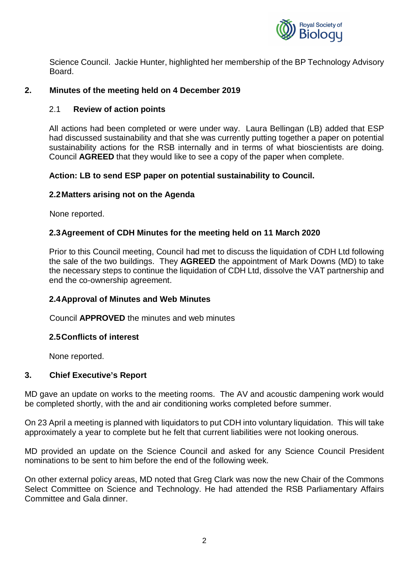

Science Council. Jackie Hunter, highlighted her membership of the BP Technology Advisory Board.

# **2. Minutes of the meeting held on 4 December 2019**

## 2.1 **Review of action points**

All actions had been completed or were under way. Laura Bellingan (LB) added that ESP had discussed sustainability and that she was currently putting together a paper on potential sustainability actions for the RSB internally and in terms of what bioscientists are doing. Council **AGREED** that they would like to see a copy of the paper when complete.

# **Action: LB to send ESP paper on potential sustainability to Council.**

#### **2.2 Matters arising not on the Agenda**

None reported.

# **2.3 Agreement of CDH Minutes for the meeting held on 11 March 2020**

Prior to this Council meeting, Council had met to discuss the liquidation of CDH Ltd following the sale of the two buildings. They **AGREED** the appointment of Mark Downs (MD) to take the necessary steps to continue the liquidation of CDH Ltd, dissolve the VAT partnership and end the co-ownership agreement.

# **2.4 Approval of Minutes and Web Minutes**

Council **APPROVED** the minutes and web minutes

#### **2.5 Conflicts of interest**

None reported.

# **3. Chief Executive's Report**

MD gave an update on works to the meeting rooms. The AV and acoustic dampening work would be completed shortly, with the and air conditioning works completed before summer.

On 23 April a meeting is planned with liquidators to put CDH into voluntary liquidation. This will take approximately a year to complete but he felt that current liabilities were not looking onerous.

MD provided an update on the Science Council and asked for any Science Council President nominations to be sent to him before the end of the following week.

On other external policy areas, MD noted that Greg Clark was now the new Chair of the Commons Select Committee on Science and Technology. He had attended the RSB Parliamentary Affairs Committee and Gala dinner.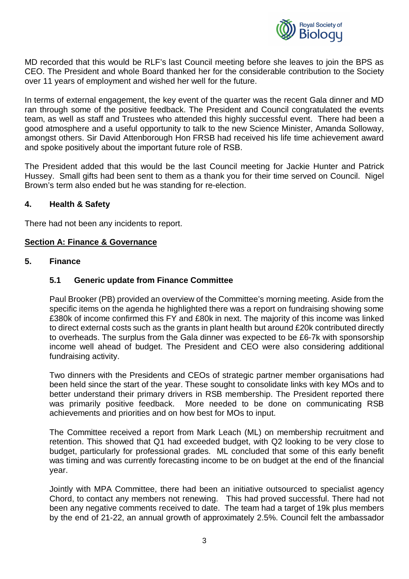

MD recorded that this would be RLF's last Council meeting before she leaves to join the BPS as CEO. The President and whole Board thanked her for the considerable contribution to the Society over 11 years of employment and wished her well for the future.

In terms of external engagement, the key event of the quarter was the recent Gala dinner and MD ran through some of the positive feedback. The President and Council congratulated the events team, as well as staff and Trustees who attended this highly successful event. There had been a good atmosphere and a useful opportunity to talk to the new Science Minister, Amanda Solloway, amongst others. Sir David Attenborough Hon FRSB had received his life time achievement award and spoke positively about the important future role of RSB.

The President added that this would be the last Council meeting for Jackie Hunter and Patrick Hussey. Small gifts had been sent to them as a thank you for their time served on Council. Nigel Brown's term also ended but he was standing for re-election.

# **4. Health & Safety**

There had not been any incidents to report.

# **Section A: Finance & Governance**

#### **5. Finance**

# **5.1 Generic update from Finance Committee**

Paul Brooker (PB) provided an overview of the Committee's morning meeting. Aside from the specific items on the agenda he highlighted there was a report on fundraising showing some £380k of income confirmed this FY and £80k in next. The majority of this income was linked to direct external costs such as the grants in plant health but around £20k contributed directly to overheads. The surplus from the Gala dinner was expected to be £6-7k with sponsorship income well ahead of budget. The President and CEO were also considering additional fundraising activity.

Two dinners with the Presidents and CEOs of strategic partner member organisations had been held since the start of the year. These sought to consolidate links with key MOs and to better understand their primary drivers in RSB membership. The President reported there was primarily positive feedback. More needed to be done on communicating RSB achievements and priorities and on how best for MOs to input.

The Committee received a report from Mark Leach (ML) on membership recruitment and retention. This showed that Q1 had exceeded budget, with Q2 looking to be very close to budget, particularly for professional grades. ML concluded that some of this early benefit was timing and was currently forecasting income to be on budget at the end of the financial year.

Jointly with MPA Committee, there had been an initiative outsourced to specialist agency Chord, to contact any members not renewing. This had proved successful. There had not been any negative comments received to date. The team had a target of 19k plus members by the end of 21-22, an annual growth of approximately 2.5%. Council felt the ambassador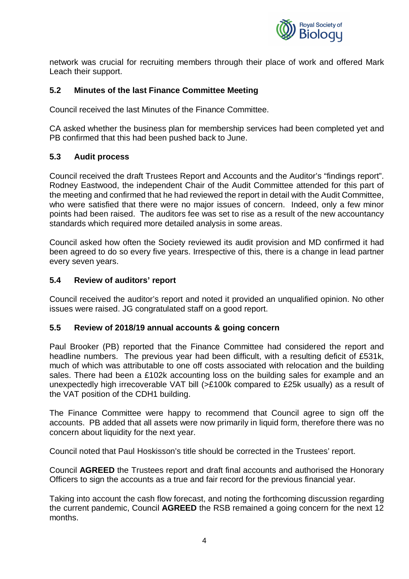

network was crucial for recruiting members through their place of work and offered Mark Leach their support.

# **5.2 Minutes of the last Finance Committee Meeting**

Council received the last Minutes of the Finance Committee.

CA asked whether the business plan for membership services had been completed yet and PB confirmed that this had been pushed back to June.

# **5.3 Audit process**

Council received the draft Trustees Report and Accounts and the Auditor's "findings report". Rodney Eastwood, the independent Chair of the Audit Committee attended for this part of the meeting and confirmed that he had reviewed the report in detail with the Audit Committee, who were satisfied that there were no major issues of concern. Indeed, only a few minor points had been raised. The auditors fee was set to rise as a result of the new accountancy standards which required more detailed analysis in some areas.

Council asked how often the Society reviewed its audit provision and MD confirmed it had been agreed to do so every five years. Irrespective of this, there is a change in lead partner every seven years.

#### **5.4 Review of auditors' report**

Council received the auditor's report and noted it provided an unqualified opinion. No other issues were raised. JG congratulated staff on a good report.

#### **5.5 Review of 2018/19 annual accounts & going concern**

Paul Brooker (PB) reported that the Finance Committee had considered the report and headline numbers. The previous year had been difficult, with a resulting deficit of £531k, much of which was attributable to one off costs associated with relocation and the building sales. There had been a £102k accounting loss on the building sales for example and an unexpectedly high irrecoverable VAT bill (>£100k compared to £25k usually) as a result of the VAT position of the CDH1 building.

The Finance Committee were happy to recommend that Council agree to sign off the accounts. PB added that all assets were now primarily in liquid form, therefore there was no concern about liquidity for the next year.

Council noted that Paul Hoskisson's title should be corrected in the Trustees' report.

Council **AGREED** the Trustees report and draft final accounts and authorised the Honorary Officers to sign the accounts as a true and fair record for the previous financial year.

Taking into account the cash flow forecast, and noting the forthcoming discussion regarding the current pandemic, Council **AGREED** the RSB remained a going concern for the next 12 months.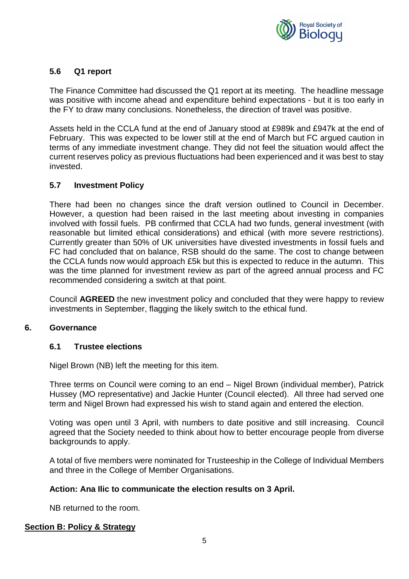

# **5.6 Q1 report**

The Finance Committee had discussed the Q1 report at its meeting. The headline message was positive with income ahead and expenditure behind expectations - but it is too early in the FY to draw many conclusions. Nonetheless, the direction of travel was positive.

Assets held in the CCLA fund at the end of January stood at £989k and £947k at the end of February. This was expected to be lower still at the end of March but FC argued caution in terms of any immediate investment change. They did not feel the situation would affect the current reserves policy as previous fluctuations had been experienced and it was best to stay invested.

# **5.7 Investment Policy**

There had been no changes since the draft version outlined to Council in December. However, a question had been raised in the last meeting about investing in companies involved with fossil fuels. PB confirmed that CCLA had two funds, general investment (with reasonable but limited ethical considerations) and ethical (with more severe restrictions). Currently greater than 50% of UK universities have divested investments in fossil fuels and FC had concluded that on balance, RSB should do the same. The cost to change between the CCLA funds now would approach £5k but this is expected to reduce in the autumn. This was the time planned for investment review as part of the agreed annual process and FC recommended considering a switch at that point.

Council **AGREED** the new investment policy and concluded that they were happy to review investments in September, flagging the likely switch to the ethical fund.

#### **6. Governance**

#### **6.1 Trustee elections**

Nigel Brown (NB) left the meeting for this item.

Three terms on Council were coming to an end – Nigel Brown (individual member), Patrick Hussey (MO representative) and Jackie Hunter (Council elected). All three had served one term and Nigel Brown had expressed his wish to stand again and entered the election.

Voting was open until 3 April, with numbers to date positive and still increasing. Council agreed that the Society needed to think about how to better encourage people from diverse backgrounds to apply.

A total of five members were nominated for Trusteeship in the College of Individual Members and three in the College of Member Organisations.

#### **Action: Ana Ilic to communicate the election results on 3 April.**

NB returned to the room.

# **Section B: Policy & Strategy**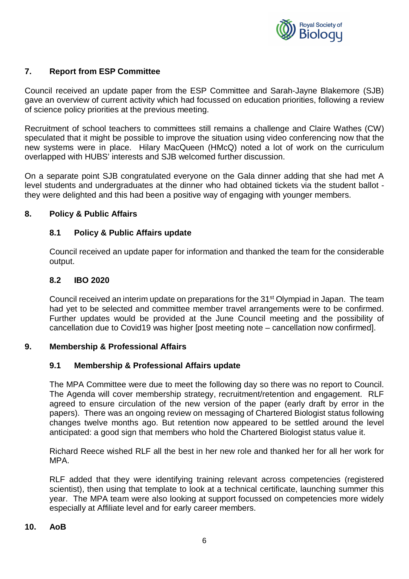

# **7. Report from ESP Committee**

Council received an update paper from the ESP Committee and Sarah-Jayne Blakemore (SJB) gave an overview of current activity which had focussed on education priorities, following a review of science policy priorities at the previous meeting.

Recruitment of school teachers to committees still remains a challenge and Claire Wathes (CW) speculated that it might be possible to improve the situation using video conferencing now that the new systems were in place. Hilary MacQueen (HMcQ) noted a lot of work on the curriculum overlapped with HUBS' interests and SJB welcomed further discussion.

On a separate point SJB congratulated everyone on the Gala dinner adding that she had met A level students and undergraduates at the dinner who had obtained tickets via the student ballot they were delighted and this had been a positive way of engaging with younger members.

#### **8. Policy & Public Affairs**

# **8.1 Policy & Public Affairs update**

Council received an update paper for information and thanked the team for the considerable output.

#### **8.2 IBO 2020**

Council received an interim update on preparations for the 31<sup>st</sup> Olympiad in Japan. The team had yet to be selected and committee member travel arrangements were to be confirmed. Further updates would be provided at the June Council meeting and the possibility of cancellation due to Covid19 was higher [post meeting note – cancellation now confirmed].

# **9. Membership & Professional Affairs**

# **9.1 Membership & Professional Affairs update**

The MPA Committee were due to meet the following day so there was no report to Council. The Agenda will cover membership strategy, recruitment/retention and engagement. RLF agreed to ensure circulation of the new version of the paper (early draft by error in the papers). There was an ongoing review on messaging of Chartered Biologist status following changes twelve months ago. But retention now appeared to be settled around the level anticipated: a good sign that members who hold the Chartered Biologist status value it.

Richard Reece wished RLF all the best in her new role and thanked her for all her work for MPA.

RLF added that they were identifying training relevant across competencies (registered scientist), then using that template to look at a technical certificate, launching summer this year. The MPA team were also looking at support focussed on competencies more widely especially at Affiliate level and for early career members.

#### **10. AoB**